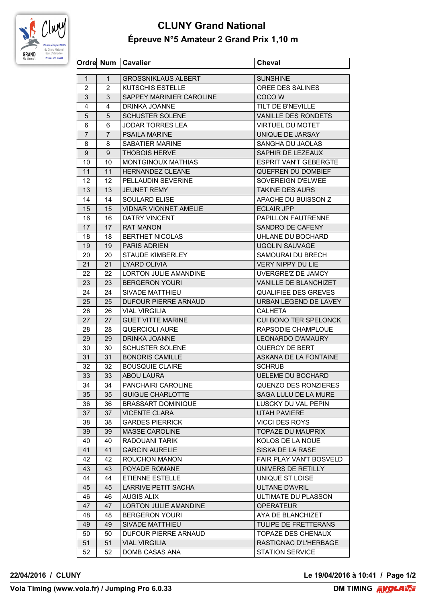

## **CLUNY Grand National Épreuve N°5 Amateur 2 Grand Prix 1,10 m**

|                |                | Ordre Num   Cavalier         | <b>Cheval</b>                  |
|----------------|----------------|------------------------------|--------------------------------|
| $\mathbf{1}$   | $\mathbf{1}$   | <b>GROSSNIKLAUS ALBERT</b>   | <b>SUNSHINE</b>                |
| 2              | 2              | <b>KUTSCHIS ESTELLE</b>      | OREE DES SALINES               |
| 3              | 3              | SAPPEY MARINIER CAROLINE     | COCO W                         |
| 4              | 4              | DRINKA JOANNE                | TILT DE B'NEVILLE              |
| 5              | 5              | <b>SCHUSTER SOLENE</b>       | VANILLE DES RONDETS            |
| 6              | 6              | JODAR TORRES LEA             | <b>VIRTUEL DU MOTET</b>        |
| $\overline{7}$ | $\overline{7}$ | <b>PSAILA MARINE</b>         | UNIQUE DE JARSAY               |
| 8              | 8              | <b>SABATIER MARINE</b>       | SANGHA DU JAOLAS               |
| 9              | 9              | <b>THOBOIS HERVE</b>         | SAPHIR DE LEZEAUX              |
| 10             | 10             | <b>MONTGINOUX MATHIAS</b>    | <b>ESPRIT VAN'T GEBERGTE</b>   |
| 11             | 11             | HERNANDEZ CLEANE             | QUEFREN DU DOMBIEF             |
| 12             | 12.            | PELLAUDIN SEVERINE           | SOVEREIGN D'ELWEE              |
| 13             | 13             | <b>JEUNET REMY</b>           | <b>TAKINE DES AURS</b>         |
| 14             | 14             | <b>SOULARD ELISE</b>         | APACHE DU BUISSON Z            |
| 15             | 15             | VIDNAR VIONNET AMELIE        | <b>ECLAIR JPP</b>              |
| 16             | 16             | <b>DATRY VINCENT</b>         | <b>PAPILLON FAUTRENNE</b>      |
| 17             | 17             | <b>RAT MANON</b>             | SANDRO DE CAFENY               |
| 18             | 18             | <b>BERTHET NICOLAS</b>       | UHLANE DU BOCHARD              |
| 19             | 19             | <b>PARIS ADRIEN</b>          | <b>UGOLIN SAUVAGE</b>          |
| 20             | 20             | <b>STAUDE KIMBERLEY</b>      | SAMOURAI DU BRECH              |
|                |                | <b>LYARD OLIVIA</b>          | VERY NIPPY DU LIE              |
| 21             | 21             |                              |                                |
| 22             | 22             | <b>LORTON JULIE AMANDINE</b> | UVERGRE'Z DE JAMCY             |
| 23             | 23             | <b>BERGERON YOURI</b>        | VANILLE DE BLANCHIZET          |
| 24             | 24             | SIVADE MATTHIEU              | <b>QUALIFIEE DES GREVES</b>    |
| 25             | 25             | <b>DUFOUR PIERRE ARNAUD</b>  | URBAN LEGEND DE LAVEY          |
| 26             | 26             | <b>VIAL VIRGILIA</b>         | <b>CALHETA</b>                 |
| 27             | 27             | <b>GUET VITTE MARINE</b>     | CUI BONO TER SPELONCK          |
| 28             | 28             | <b>QUERCIOLI AURE</b>        | RAPSODIE CHAMPLOUE             |
| 29             | 29             | DRINKA JOANNE                | LEONARDO D'AMAURY              |
| 30             | 30             | <b>SCHUSTER SOLENE</b>       | QUERCY DE BERT                 |
| 31             | 31             | <b>BONORIS CAMILLE</b>       | ASKANA DE LA FONTAINE          |
| 32             | 32             | <b>BOUSQUIE CLAIRE</b>       | <b>SCHRUB</b>                  |
| 33             | 33             | ABOU LAURA                   | UELEME DU BOCHARD              |
| 34             | 34             | PANCHAIRI CAROLINE           | <b>QUENZO DES RONZIERES</b>    |
| 35             | 35             | <b>GUIGUE CHARLOTTE</b>      | SAGA LULU DE LA MURE           |
| 36             | 36             | <b>BRASSART DOMINIQUE</b>    | LUSCKY DU VAL PEPIN            |
| 37             | 37             | <b>VICENTE CLARA</b>         | <b>UTAH PAVIERE</b>            |
| 38             | 38             | <b>GARDES PIERRICK</b>       | <b>VICCI DES ROYS</b>          |
| 39             | 39             | MASSE CAROLINE               | <b>TOPAZE DU MAUPRIX</b>       |
| 40             | 40             | RADOUANI TARIK               | KOLOS DE LA NOUE               |
| 41             | 41             | <b>GARCIN AURELIE</b>        | SISKA DE LA RASE               |
| 42             | 42             | ROUCHON MANON                | <b>FAIR PLAY VAN'T BOSVELD</b> |
| 43             | 43             | POYADE ROMANE                | UNIVERS DE RETILLY             |
| 44             | 44             | ETIENNE ESTELLE              | UNIQUE ST LOISE                |
| 45             | 45             | LARRIVE PETIT SACHA          | <b>ULTANE D'AVRIL</b>          |
| 46             | 46             | <b>AUGIS ALIX</b>            | ULTIMATE DU PLASSON            |
| 47             | 47             | LORTON JULIE AMANDINE        | <b>OPERATEUR</b>               |
| 48             | 48             | <b>BERGERON YOURI</b>        | AYA DE BLANCHIZET              |
| 49             | 49             | SIVADE MATTHIEU              | TULIPE DE FRETTERANS           |
| 50             | 50             | DUFOUR PIERRE ARNAUD         | TOPAZE DES CHENAUX             |
| 51             | 51             | <b>VIAL VIRGILIA</b>         | RASTIGNAC D'L'HERBAGE          |
| 52             | 52             | DOMB CASAS ANA               | <b>STATION SERVICE</b>         |

**22/04/2016 / CLUNY Le 19/04/2016 à 10:41 / Page 1/2**